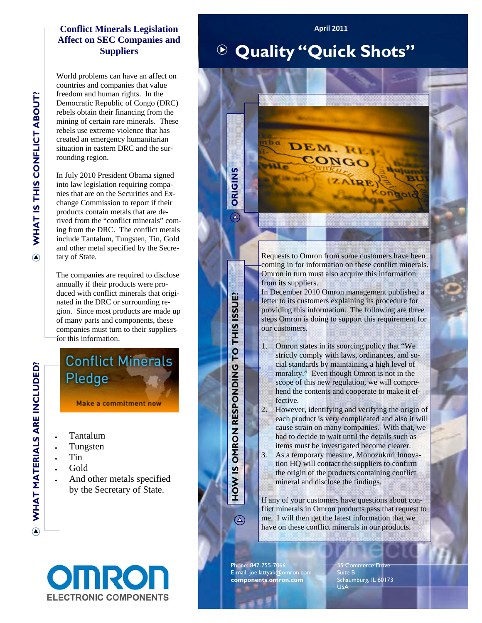## **Conflict Minerals Legislation Affect on SEC Companies and Suppliers**

World problems can have an affect on countries and companies that value freedom and human rights. In the Democratic Republic of Congo (DRC) rebels obtain their financing from the mining of certain rare minerals. These rebels use extreme violence that has created an emergency humanitarian situation in eastern DRC and the surrounding region.

In July 2010 President Obama signed into law legislation requiring companies that are on the Securities and Exchange Commission to report if their products contain metals that are derived from the "conflict minerals" coming from the DRC. The conflict metals include Tantalum, Tungsten, Tin, Gold and other metal specified by the Secretary of State.

The companies are required to disclose annually if their products were produced with conflict minerals that originated in the DRC or surrounding region. Since most products are made up of many parts and components, these companies must turn to their suppliers for this information.

**Conflict Minerals** Pledge

**Make a commitment now** 

- Tantalum
- Tungsten
- Tin
- Gold
- And other metals specified by the Secretary of State.

## **OINR ELECTRONIC COMPONENTS**

## **Quality "Quick Shots"**

**April 2011**



Requests to Omron from some customers have been coming in for information on these conflict minerals. Omron in turn must also acquire this information from its suppliers.

In December 2010 Omron management published a letter to its customers explaining its procedure for providing this information. The following are three steps Omron is doing to support this requirement for our customers.

- 1. Omron states in its sourcing policy that "We strictly comply with laws, ordinances, and social standards by maintaining a high level of morality." Even though Omron is not in the scope of this new regulation, we will comprehend the contents and cooperate to make it effective.
- 2. However, identifying and verifying the origin of each product is very complicated and also it will cause strain on many companies. With that, we had to decide to wait until the details such as items must be investigated become clearer.
- 3. As a temporary measure, Monozukuri Innovation HQ will contact the suppliers to confirm the origin of the products containing conflict mineral and disclose the findings.

If any of your customers have questions about conflict minerals in Omron products pass that request to me. I will then get the latest information that we have on these conflict minerals in our products.

Phone: 847-755-7066 E-mail: joe.lattyak@omron.com **components.omron.com** 

HOW IS OMRON RESPONDING TO THIS ISSUE?

 $\circledA$ 

55 Commerce Drive Suite B Schaumburg, IL 60173 USA

**WHAT MATERIALS ARE INCLUDED?**  WHAT MATERIALS ARE INCLUDED?

 $\odot$